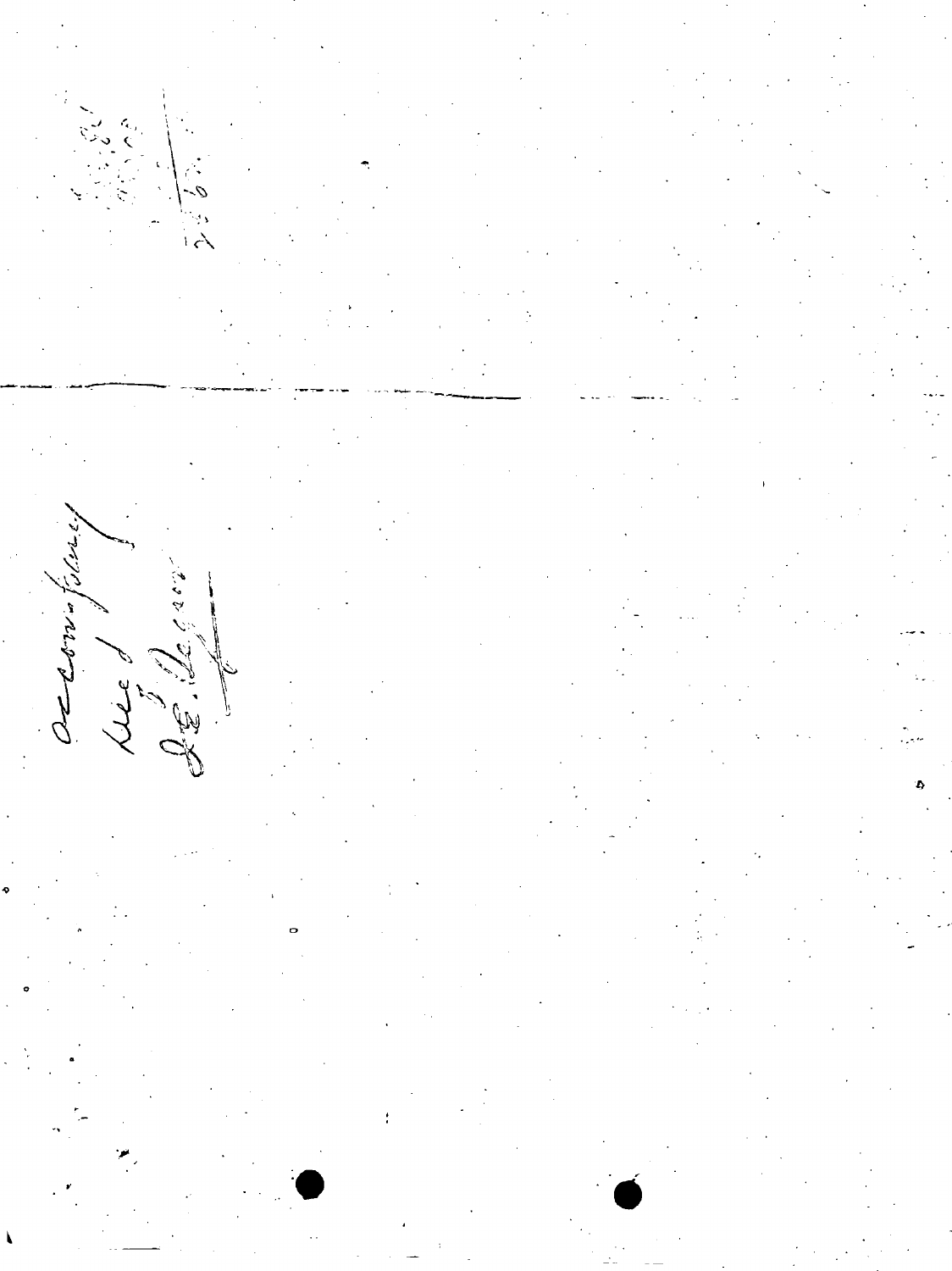

f,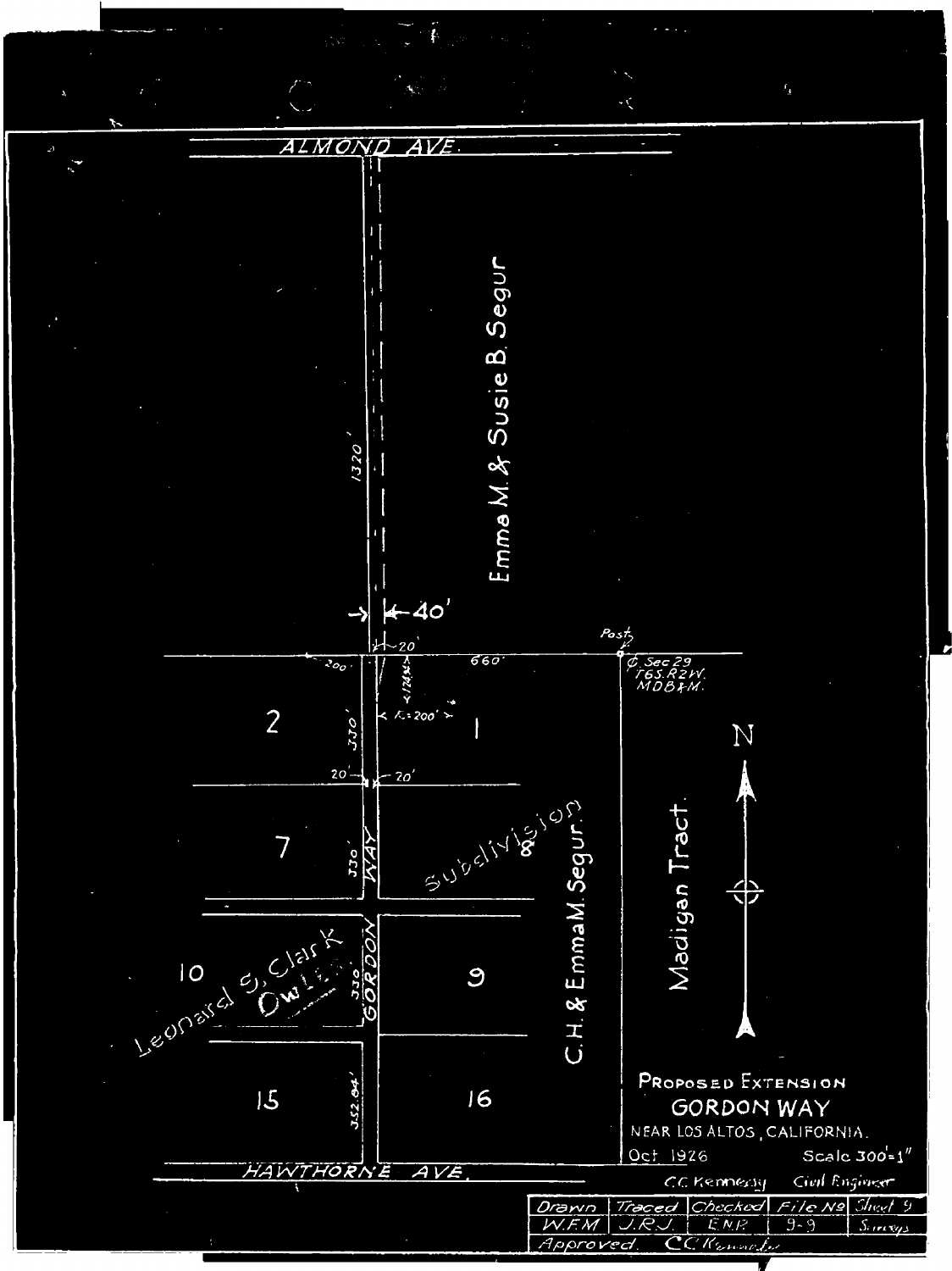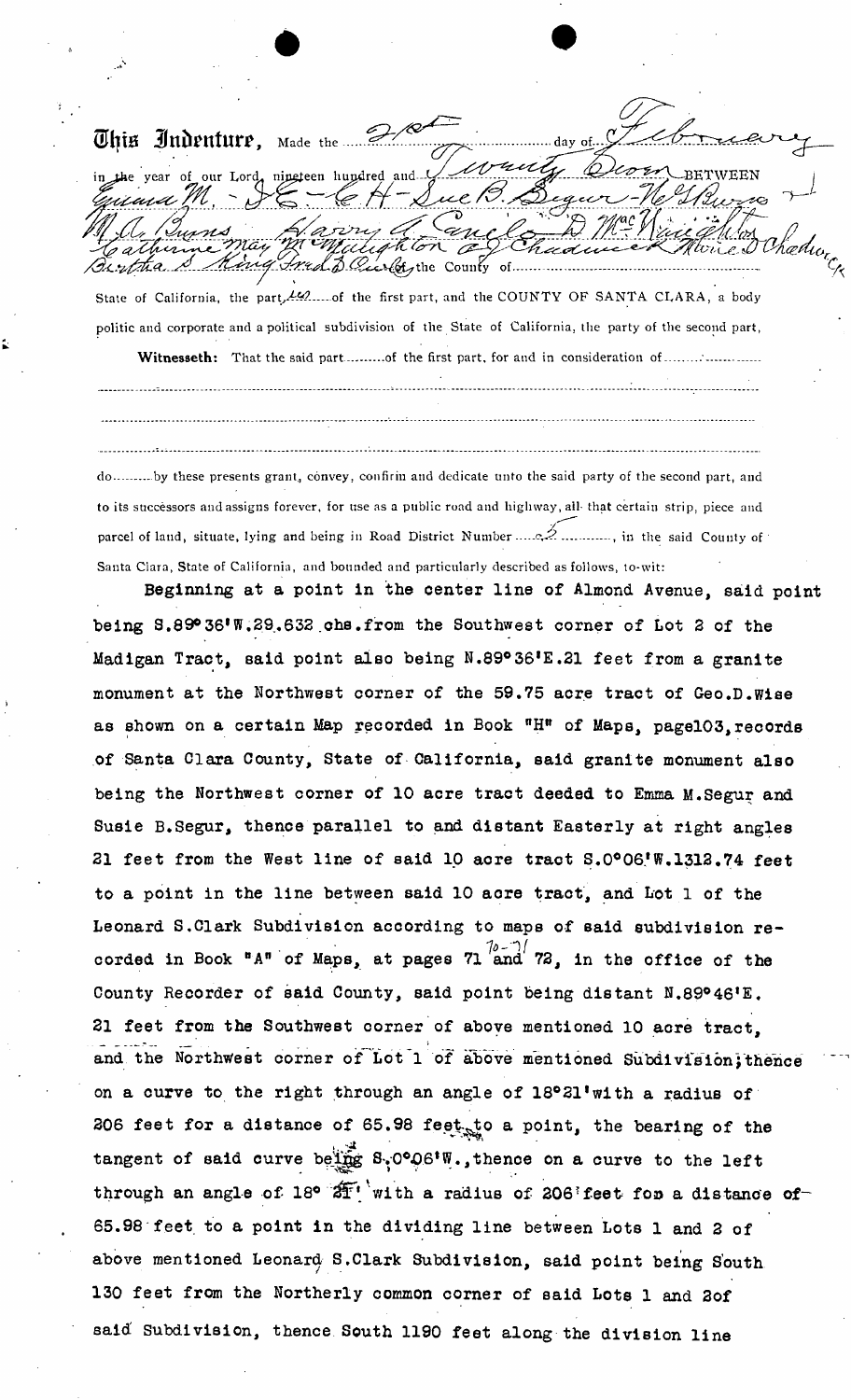**QHjta ilnitenture,** Made the in the year of our Lord, nineteen hundred and L RETWEEN . • ... Inad D. Carlots the County of ....

State of California, the part, 10.......of the first part, and the COUNTY OF SANTA CLARA, a body politic and corporate and apolitical subdivision of the State of California, the party of the second part,

Witnesseth: That the said part..........of the first part, for and in consideration of..................

do ..........by these presents grant, convey, confirm and dedicate unto the said party of the second part, and to its successors and assigns forever, for use as a public road and highway, all- that certain strip, piece and parcel of land, situate, lying and being in Road District Number  $\ldots$  .  $\cong$   $\ldots$   $\ldots$ , in the said County of Santa Ciara, State of California, and bounded and particularly described as follows, to-wit:

**Beginning at a point in the center line of Almond Avenue, said point being S.89°36'W.29.632 \_chs.from the Southwest corner of Lot 2 of the Madigan Tract, said point also being N.89°36,E.21 feet from a granite monument at the Northwest corner of the 59.75 acre tract of Geo.D.Wise as shown on a certain Map recorded in Book "H" of Maps, pagel03,records of Santa Clara County, State of California, said granite monument also being the Northwest comer of 10 acre tract deeded to Emma M.Segur and Susie B.Segur, thence parallel to and distant Easterly at right angles 21 feet from the West line of said 10 acre tract S.0°06,W.1312.74 feet to a point in the line between said 10 aore tract, and Lot 1 of the Leonard S.Clark Subdivision according to maps of said subdivision recorded in Book °A<sup>n</sup> of Maps, at pages 71 and 72, in the office of the County Recorder of said County, said point being distant N.89°46 ,E. 21 feet from the Southwest corner of above mentioned 10 acre tract, and the Northwest corner of Lot 1 of above mentioned Subdivision;thence on a curve to the right through an angle of 18°21,with a radius of 206 feet for a distance of 65.98 feet**, to a point, the bearing of the v. **tangent of said curve belief**  $\mathcal{L}$ through an angle of 18°  $2^{\frac{1}{2}+\frac{1}{2}}$  with a radius of 206 feet for a distance of 65.98 feet to a point in the dividing line between Lots 1 and 2 of above mentioned Leonard S.Clark Subdivision, said point being South 130 feet from the Northerly common corner of said Lots 1 and 2of said Subdivision, thence South 1190 feet along the division line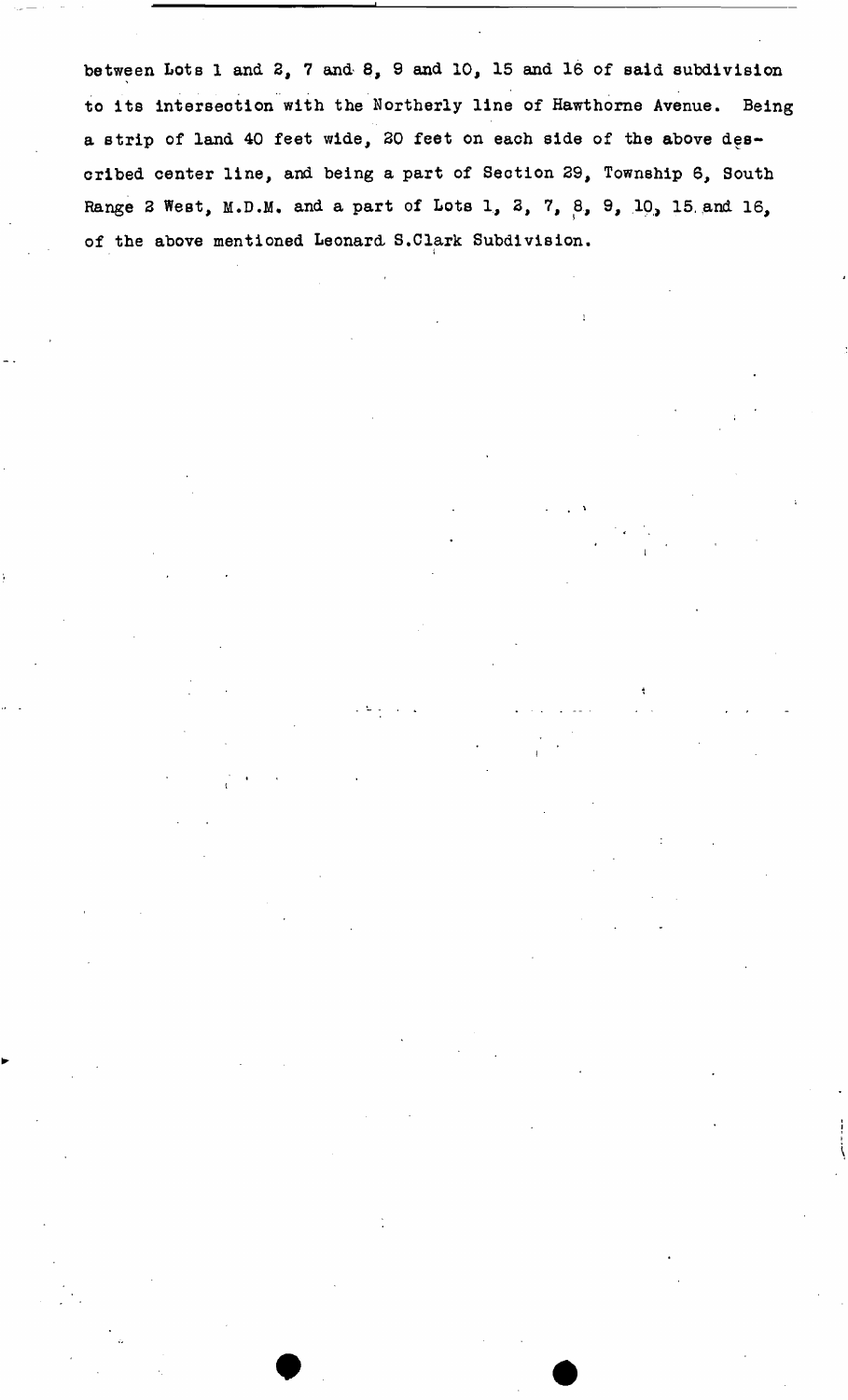**between Lots 1 and 2, 7 and 8, 9 and 10, 15 and 16 of said subdivision to its intersection with the Northerly line of Hawthorne Avenue. Being a strip of land 40 feet wide, 20 feet on each side of the above described center line, and being a part of Section 29, Township 6, South Range 2 West, M.D.M, and a part of Lots 1, 3, 7,** *Q,* **9, 10, 15, and 16, of the above mentioned Leonard S.Clark Subdivision,** 

**i**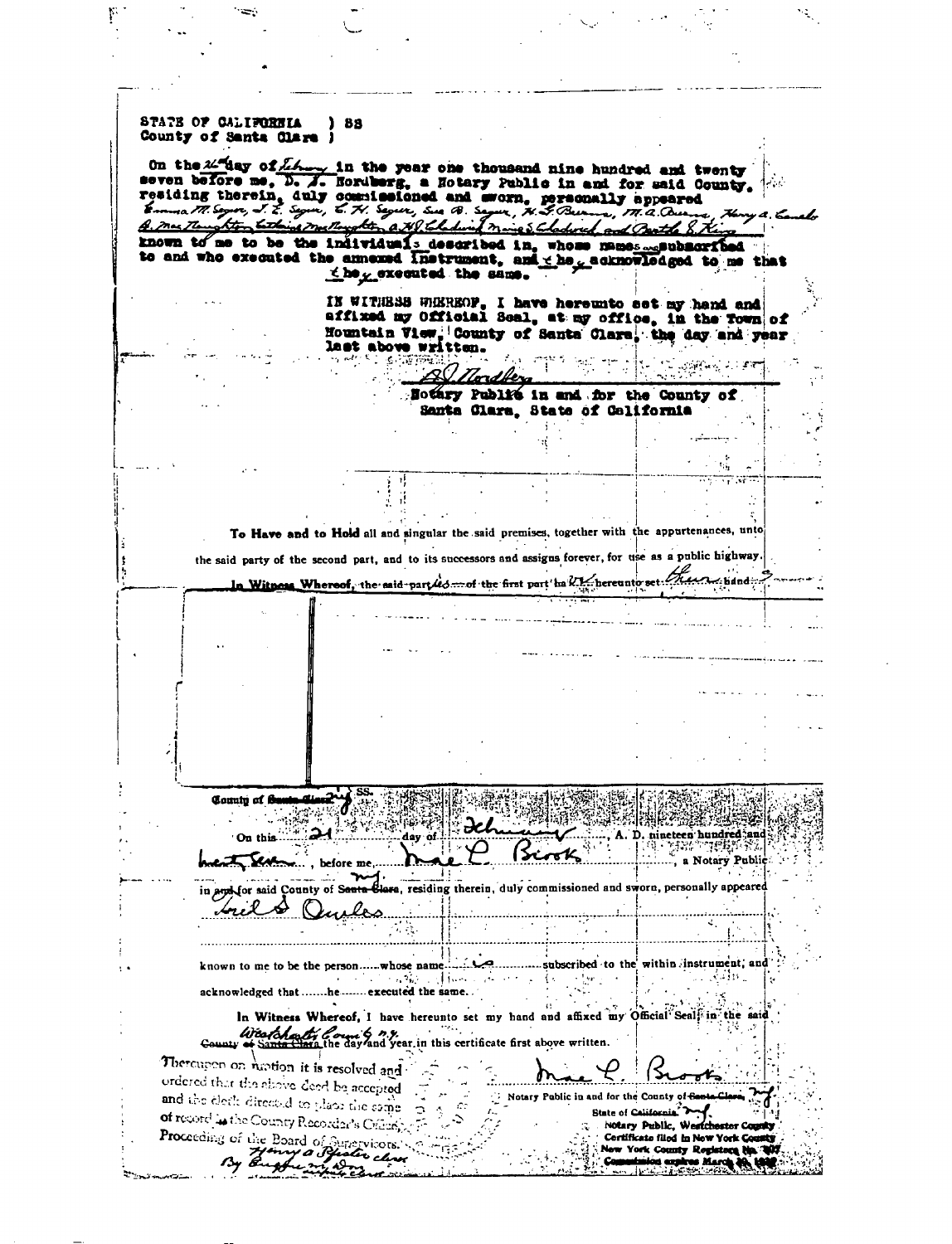STATE OF CALIFORNIA ) 88 County of Santa Clare ) On the 24 day of L.A. On the  $2\sqrt{2}$  ay of  $\sqrt{2}$  in the year one thousand nine hundred and twenty seven before me, D. A. Hordberg, a Hotary Public in and for said County. residing therein, duly counterly and worn, personally appeared<br>Emma M. Sowe, J. E. Soyue, E. H. Soyue, Sea B. Soyue, H. S. Burme, M. a. Quema<br>A. Mas Thoughton bathing melloyable, a. H. Scholard Marie & Chadwick and Boottle known to me to be the individuals described in, whose mames and ubscribed to and who executed the annexed instrument, and the cacknowledged to me that the greented the same. IN WITHBSB WHEREOF. I have hereunto set my hand and affixed my Official Seal, at my office, in the Town of Hountain View, County of Santa Clara, the day and year last above written. 野军时候  $\label{eq:2} \sum_{i=1}^n \frac{1}{2} \sum_{i=1}^n \frac{1}{2} \sum_{j=1}^n \frac{1}{2} \sum_{j=1}^n \frac{1}{2} \sum_{j=1}^n \frac{1}{2} \sum_{j=1}^n \frac{1}{2} \sum_{j=1}^n \frac{1}{2} \sum_{j=1}^n \frac{1}{2} \sum_{j=1}^n \frac{1}{2} \sum_{j=1}^n \frac{1}{2} \sum_{j=1}^n \frac{1}{2} \sum_{j=1}^n \frac{1}{2} \sum_{j=1}^n \frac{1}{2} \sum_{j=$ Nothry Publit in and for the County of Santa Clara, State of Celifornia  $\mathbf{r}_{\mathrm{th}}$ 青青 To Have and to Hold all and singular the said premises, together with the appurtenances, unto the said party of the second part, and to its successors and assigns forever, for use as a public highway. In Witness Whereof, the said-part les mof the first part in VI hereunto set Trees thand; County of **A** A. D. nineteen hundred and On this day of AW TO BEEN Y <u>(Scook)</u> , a Notary Public before me and County of Se a, residing therein, duly commissioned and sworn, personally appeared ............. subscribed to the within instrument, and known to me to be the person......whose  $\sim 5\, {\rm yr} \lesssim 1$ i di di ta  $\sim 1000$ and two a acknowledged that .......he ....... executed the same...  $\Omega$ In Witness Whereof, I have hereunto set my hand and affixed my Official Seal in the Weart four of not in this certificate first above written. Thereupon on motion it is resolved and ordered that the showe deed be accepted Notary Public in and for the County of  $\epsilon$ and the électricitient of the state come a -Co State of Calife of record is the County Recorder's Critics) Notary Public, Westche Proceeding of the Board of Supervisors. Certificate filed in New York C **New York Com** nty Rogh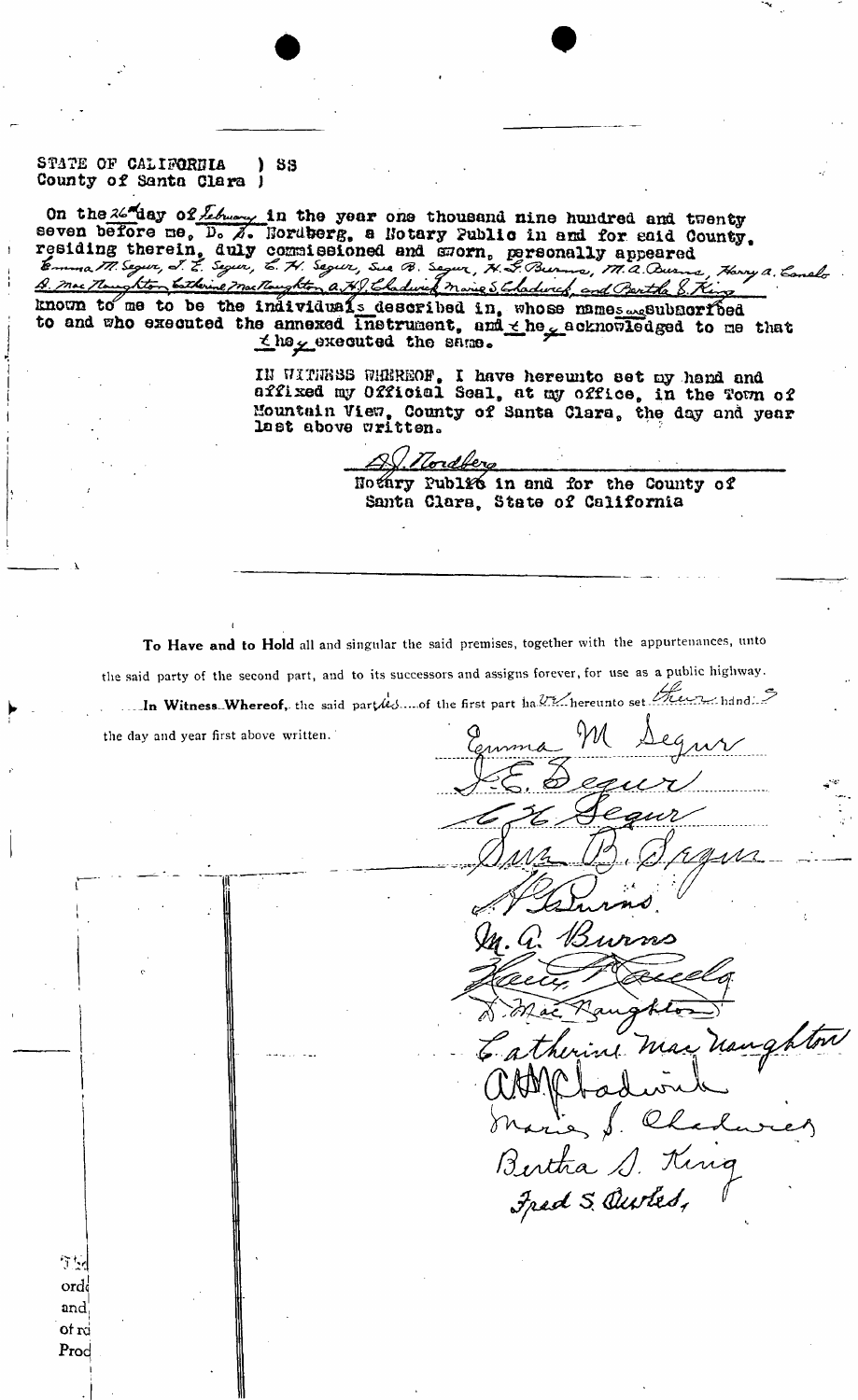STATE OF CALIFORDIA ) SS **County of Santa Clara J** 

On the 26 day of *Lebuary* in the year one thousand nine hundred and twenty seven before ne,  $\overline{D}$ ,  $\overline{A}$ . Nordberg, a Notary Public in and for eaid County. residing therein, duly commissioned and morn, personally appeared y a. Conelghton totherine macken a H.J. Chadwick marie 5 Chadwick and Bentha 8. A. mac The known to me to be the individuals described in, whose names septiment hed **to and who executed the annexed instrument, and ^ he v acknonl©d ged to me that hoy executed tho sarao®** 

> **IH HITIJ888 ffHBRSOF. I have hereunto set ny hand and affixed my Official Seal, at cay office, in the Tovm of Mountain View, County of Santa Clara, the ds^y and year last above written\***

Hordberg

**Bothvy Public in and for the County of Santa Clara, State of California** 

To Have and to Hold all and singular the said premises, together with the appurtenances, unto the said party of the second part, and to its successors and assigns forever, for use as a public highway. In Witness-Whereof, the said partles.... of the first part half hereunto set the residual  $\mathcal{F}$ 

the day and year first above written.

*Vf'r*  ord **and! of rd**  Prod

surns Bertha S. King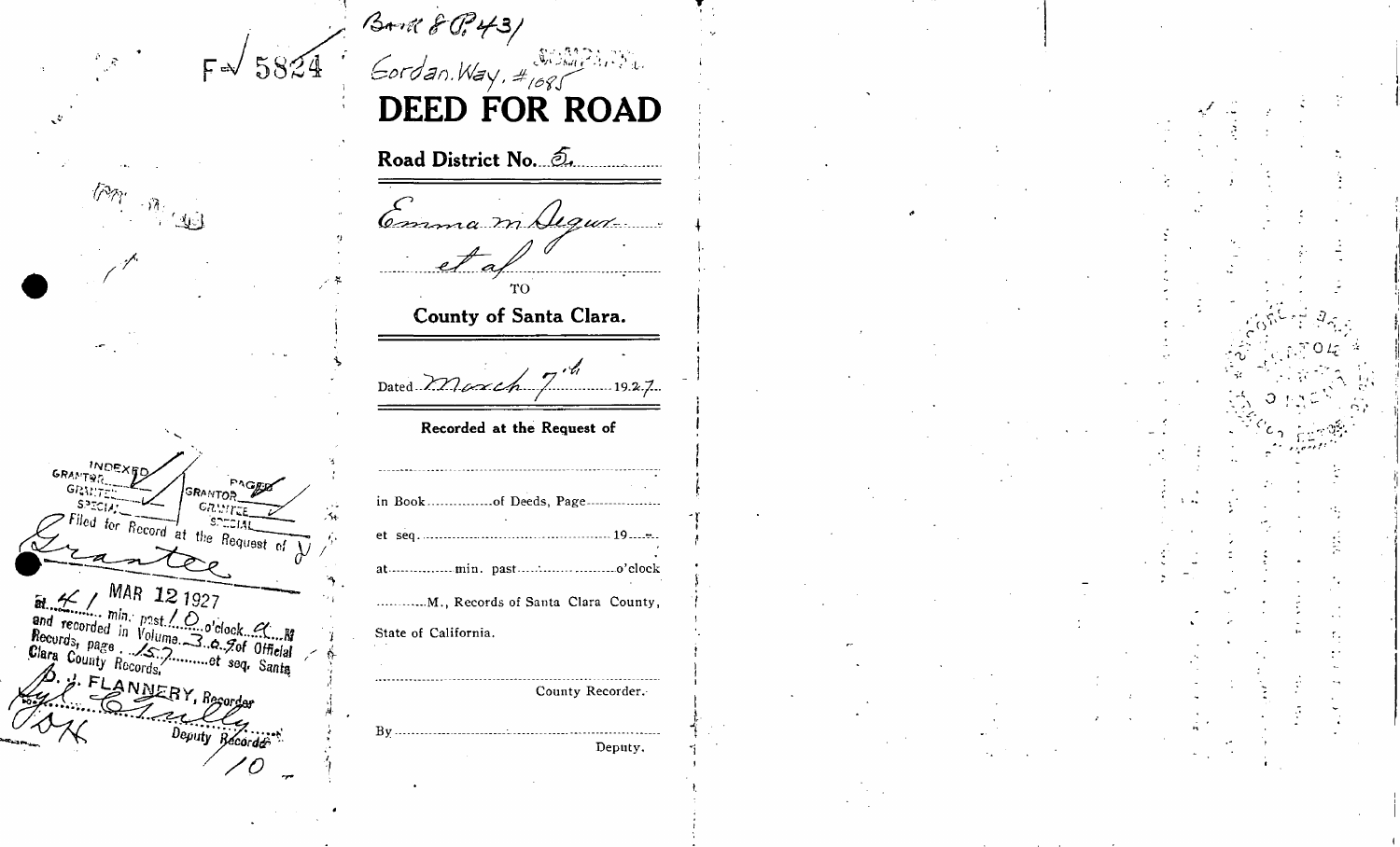BAR 8 0, 431  $F = \sqrt{5824}$ E  $\sqrt{N}$ **INDEXED GRANTON** FAGER GRANTEL **GRANTOR** GRUITTE  $\frac{1}{\sqrt{5.32514}}$ <br>> Filed for Record at the Request of  $\frac{1}{\sqrt{5.32514}}$  $\ddot{e}$ -at  $S$ ☆ bounty model<br>S. FLANNERY, Recorder Deputy Récorder  $B<sub>1</sub>$  $\mathcal O$ 

| $\cdot$ $\cdot$ $\cdot$ $\cdot$ $\cdot$ $\cdot$<br>Gordan. Way, #1085 |  |
|-----------------------------------------------------------------------|--|
| <b>DEED FOR ROAD</b>                                                  |  |
| Road District No. 2.                                                  |  |
| Comma m Algun                                                         |  |
| $e^+$ af                                                              |  |
| County of Santa Clara.                                                |  |
| Dated $2 \pi \omega_4 \frac{1}{4}$ 19.2.7.                            |  |
| Recorded at the Request of                                            |  |
| in Bookof Deeds, Page                                                 |  |
|                                                                       |  |
|                                                                       |  |
| M., Records of Santa Clara County,                                    |  |
| State of California.                                                  |  |
| County Recorder.                                                      |  |
| Deputy.                                                               |  |
|                                                                       |  |

##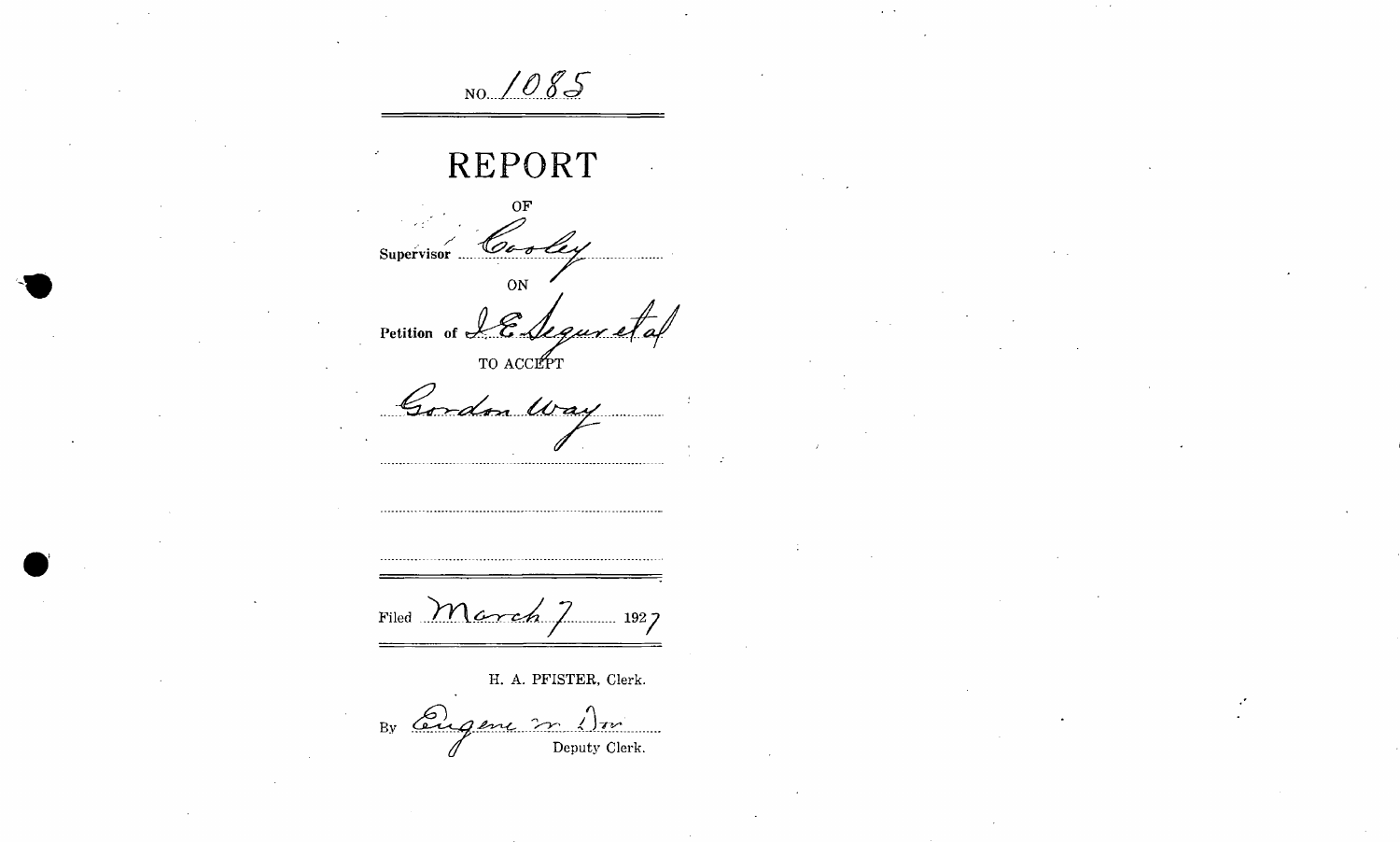*NO.* 1085

## **REPORT**

**OF**  Supervisor Cooley

**ON** Petition of LE Segur

TO ACCEPT

Gordon Way ...............................

Filed **March** 7 1927

**H. A. PFISTER, Clerk.** 

By augene 2 1 m **Deputy Clerk.**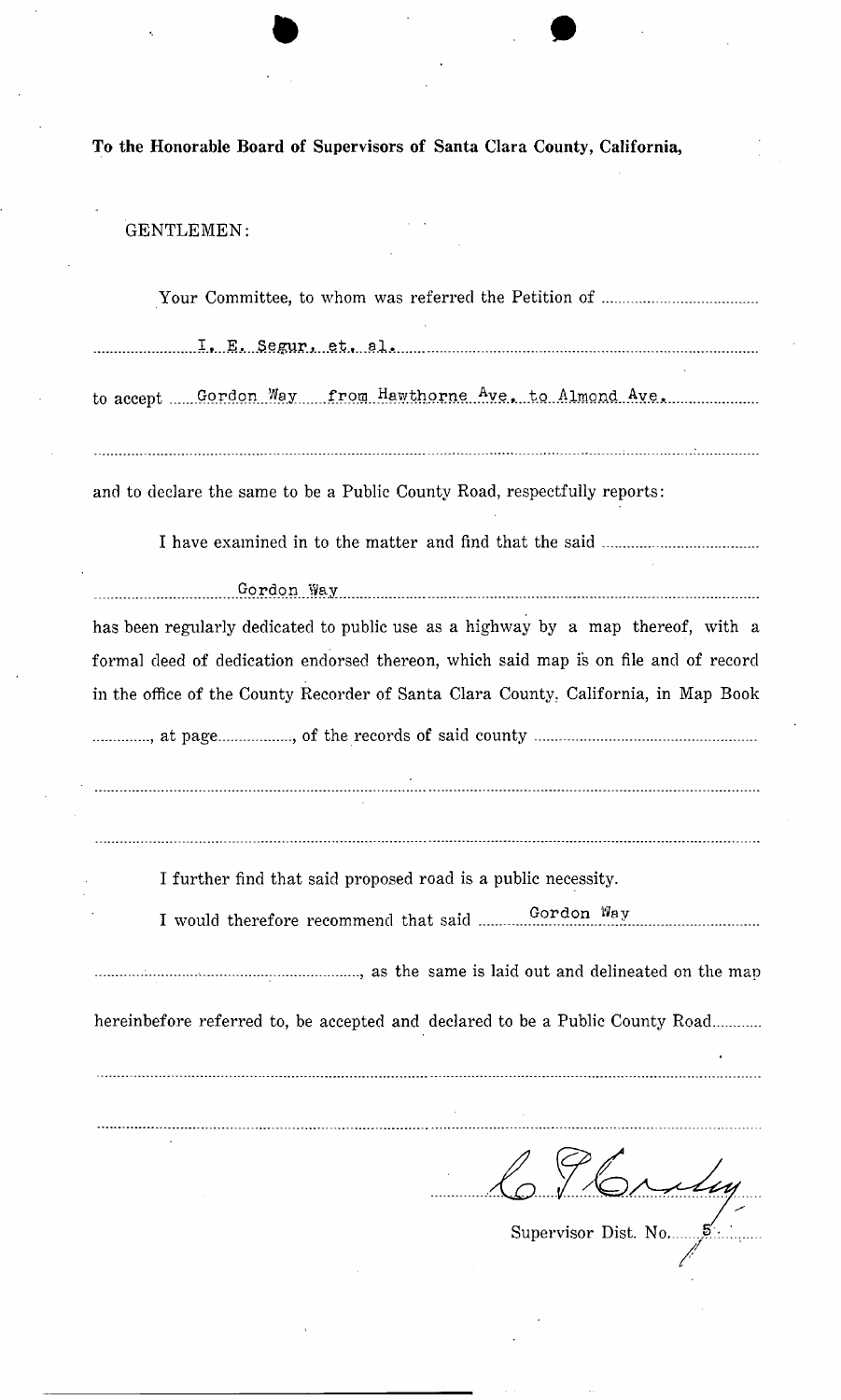**To the Honorable Board of Supervisors of Santa Clara County, California,** 

 $\mathbf{r}$ 

 $\ddot{\phantom{a}}$  $\mathcal{L}$ 

## GENTLEMEN:

| to accept Gordon Way from Hawthorne Ave, to Almond Ave.                                                                                                                                                                                                        |
|----------------------------------------------------------------------------------------------------------------------------------------------------------------------------------------------------------------------------------------------------------------|
| and to declare the same to be a Public County Road, respectfully reports:                                                                                                                                                                                      |
|                                                                                                                                                                                                                                                                |
|                                                                                                                                                                                                                                                                |
| has been regularly dedicated to public use as a highway by a map thereof, with a<br>formal deed of dedication endorsed thereon, which said map is on file and of record<br>in the office of the County Recorder of Santa Clara County, California, in Map Book |
| I further find that said proposed road is a public necessity.<br>Gordon Way<br>I would therefore recommend that said<br>hereinbefore referred to, be accepted and declared to be a Public County Road                                                          |
| CJbridge                                                                                                                                                                                                                                                       |

Supervisor Dist. No.  $\overline{\mathbf{S}}$ . ...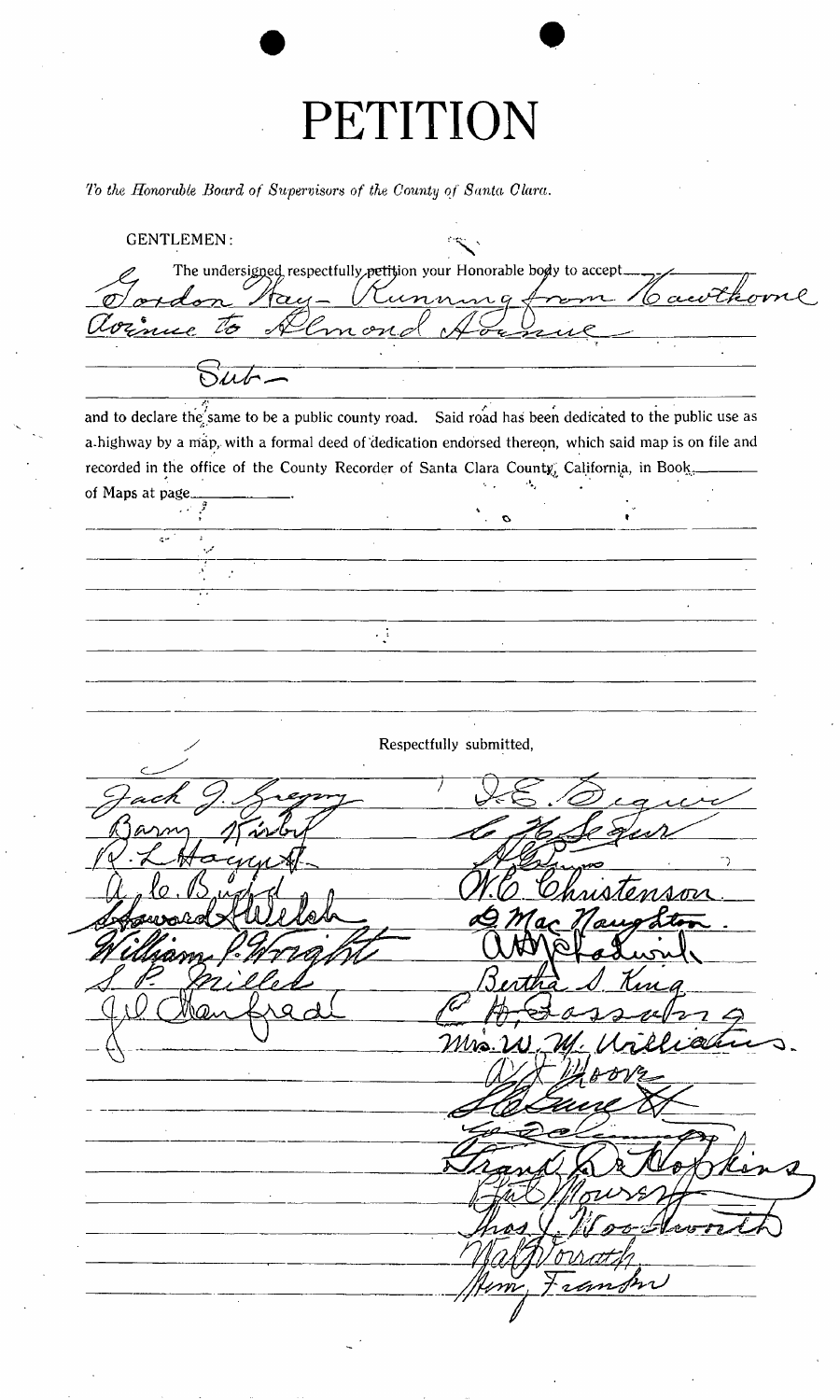## **PETITION**

*To the Honorable Board of Supervisors of the County of Santa Clara.* 

**GENTLEMEN:**  The undersigned, respectfully<sub>, petition your Honorable body to accept.</sub> ovne. *tPS yhi^f — i/Xl^yx ,*   $\mathbb{Z}$  $\sqrt{2\mu^2-1}$ and to declare the same to be a public county road. Said road has been dedicated to the public use as **a-highway by a map, with a formal deed of 'dedication endorsed thereon, which said map is on file and**  recorded in the office of the County Recorder of Santa Clara County, California, in Book, **of Maps at page**   $\sigma$  .  $\mathbf{c}$  $\mathcal{I}$  $\mathbb{R}^2$  $\mathcal{L}_{\mathcal{A}}$ **Respectfully submitted,** Mrs